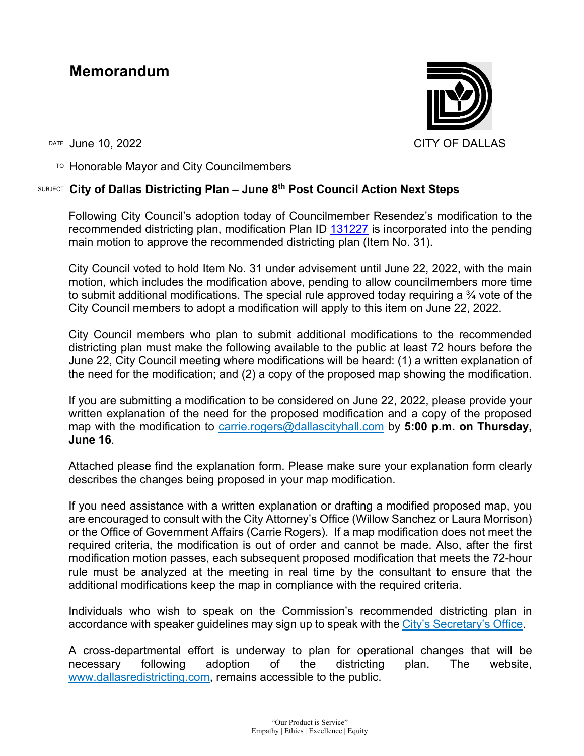## **Memorandum**



DATE June 10, 2022 CITY OF DALLAS

 $T$ <sup>O</sup> Honorable Mayor and City Councilmembers

## SUBJECT **City of Dallas Districting Plan – June 8th Post Council Action Next Steps**

Following City Council's adoption today of Councilmember Resendez's modification to the recommended districting plan, modification Plan ID [131227](https://districtr.org/plan/131227) is incorporated into the pending main motion to approve the recommended districting plan (Item No. 31).

City Council voted to hold Item No. 31 under advisement until June 22, 2022, with the main motion, which includes the modification above, pending to allow councilmembers more time to submit additional modifications. The special rule approved today requiring a  $\frac{3}{4}$  vote of the City Council members to adopt a modification will apply to this item on June 22, 2022.

City Council members who plan to submit additional modifications to the recommended districting plan must make the following available to the public at least 72 hours before the June 22, City Council meeting where modifications will be heard: (1) a written explanation of the need for the modification; and (2) a copy of the proposed map showing the modification.

If you are submitting a modification to be considered on June 22, 2022, please provide your written explanation of the need for the proposed modification and a copy of the proposed map with the modification to [carrie.rogers@dallascityhall.com](mailto:carrie.rogers@dallascityhall.com) by **5:00 p.m. on Thursday, June 16**.

Attached please find the explanation form. Please make sure your explanation form clearly describes the changes being proposed in your map modification.

If you need assistance with a written explanation or drafting a modified proposed map, you are encouraged to consult with the City Attorney's Office (Willow Sanchez or Laura Morrison) or the Office of Government Affairs (Carrie Rogers). If a map modification does not meet the required criteria, the modification is out of order and cannot be made. Also, after the first modification motion passes, each subsequent proposed modification that meets the 72-hour rule must be analyzed at the meeting in real time by the consultant to ensure that the additional modifications keep the map in compliance with the required criteria.

Individuals who wish to speak on the Commission's recommended districting plan in accordance with speaker guidelines may sign up to speak with the [City's Secretary's](https://gcc02.safelinks.protection.outlook.com/?url=https%3A%2F%2Fpersonalfinance.dallascityhall.com%2Fspeakers.aspx&data=05%7C01%7Ccarrie.rogers%40dallascityhall.com%7Cb92839dba08d4163712508da376c3100%7C2935709ec10c4809a302852d369f8700%7C0%7C0%7C637883235298614384%7CUnknown%7CTWFpbGZsb3d8eyJWIjoiMC4wLjAwMDAiLCJQIjoiV2luMzIiLCJBTiI6Ik1haWwiLCJXVCI6Mn0%3D%7C3000%7C%7C%7C&sdata=Cr0yHOGtS96VlYeRpUN%2F69ehMVOfQBhhSTbLNSuqH%2Bo%3D&reserved=0) Office.

A cross-departmental effort is underway to plan for operational changes that will be necessary following adoption of the districting plan. The website, [www.dallasredistricting.com,](http://www.dallasredistricting.com/) remains accessible to the public.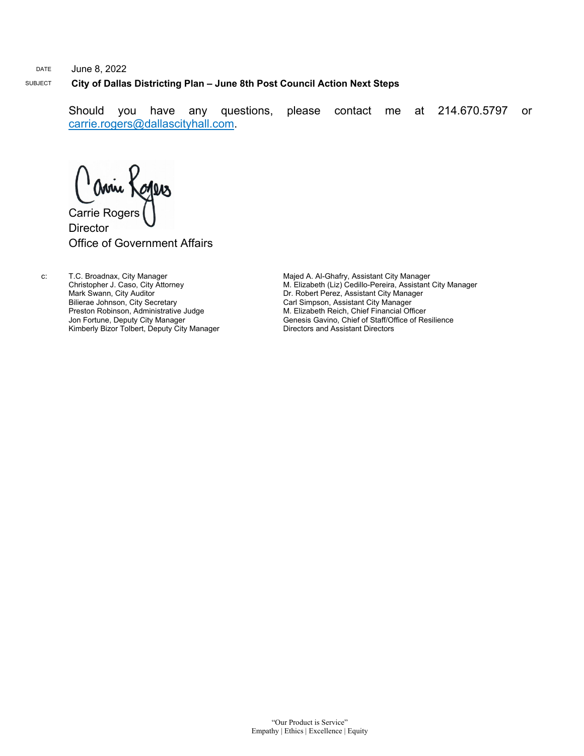## DATE June 8, 2022 SUBJECT **City of Dallas Districting Plan – June 8th Post Council Action Next Steps**

Should you have any questions, please contact me at 214.670.5797 or [carrie.rogers@dallascityhall.com.](mailto:carrie.rogers@dallascityhall.com)

Comie Kogers **Director** Office of Government Affairs

c: T.C. Broadnax, City Manager Christopher J. Caso, City Attorney Mark Swann, City Auditor Bilierae Johnson, City Secretary Preston Robinson, Administrative Judge Jon Fortune, Deputy City Manager Kimberly Bizor Tolbert, Deputy City Manager Majed A. Al-Ghafry, Assistant City Manager M. Elizabeth (Liz) Cedillo-Pereira, Assistant City Manager Dr. Robert Perez, Assistant City Manager Carl Simpson, Assistant City Manager M. Elizabeth Reich, Chief Financial Officer Genesis Gavino, Chief of Staff/Office of Resilience Directors and Assistant Directors